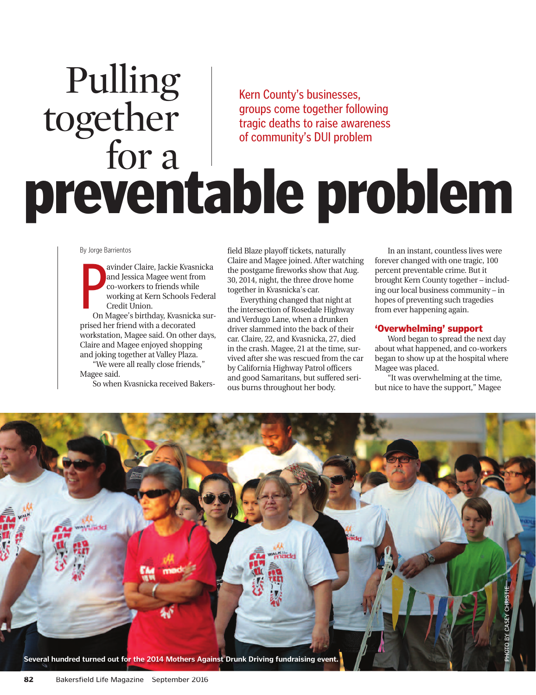# **preventable problem** Kern County's businesses, groups come together following tragic deaths to raise awareness of community's DUI problem Pulling together for a

By Jorge Barrientos

By Jorge B<br>
expansive B<br>
and Corpus<br>
and Corpus<br>
and Corpus<br>
and Corpus<br>
and Corpus<br>
and Corpus<br>
and Corpus<br>
and Corpus<br>
and Corpus<br>
and Corpus<br>
and Corpus<br>
and Corpus<br>
and Corpus<br>
and Corpus<br>
and Corpus<br>
and Corpus<br>
and C avinder Claire, Jackie Kvasnicka and Jessica Magee went from co-workers to friends while working at Kern Schools Federal Credit Union.

On Magee's birthday, Kvasnicka surprised her friend with a decorated workstation, Magee said. On other days, Claire and Magee enjoyed shopping and joking together at Valley Plaza.

"We were all really close friends," Magee said.

So when Kvasnicka received Bakers-

field Blaze playoff tickets, naturally Claire and Magee joined. After watching the postgame fireworks show that Aug. 30, 2014, night, the three drove home together in Kvasnicka's car.

Everything changed that night at the intersection of Rosedale Highway and Verdugo Lane, when a drunken driver slammed into the back of their car. Claire, 22, and Kvasnicka, 27, died in the crash. Magee, 21 at the time, survived after she was rescued from the car by California Highway Patrol officers and good Samaritans, but suffered serious burns throughout her body.

In an instant, countless lives were forever changed with one tragic, 100 percent preventable crime. But it brought Kern County together – including our local business community – in hopes of preventing such tragedies from ever happening again.

# **'Overwhelming' support**

Word began to spread the next day about what happened, and co-workers began to show up at the hospital where Magee was placed.

"It was overwhelming at the time, but nice to have the support," Magee